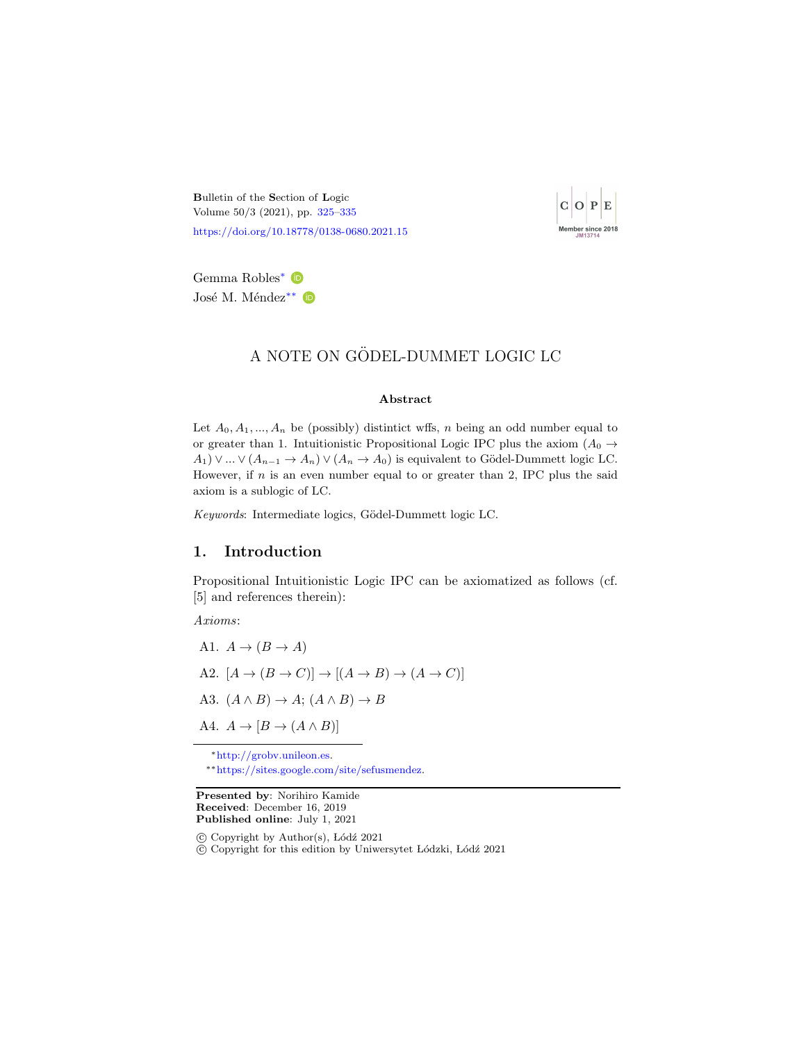<span id="page-0-0"></span>Bulletin of the Section of Logic Volume 50/3 (2021), pp. [325](#page-0-0)[–335](#page-10-0) <https://doi.org/10.18778/0138-0680.2021.15>



Gemma Robles<sup>∗</sup> José M. Méndez<sup>∗∗</sup> D

## A NOTE ON GÖDEL-DUMMET LOGIC LC

#### Abstract

Let  $A_0, A_1, ..., A_n$  be (possibly) distintict wffs, n being an odd number equal to or greater than 1. Intuitionistic Propositional Logic IPC plus the axiom  $(A_0 \rightarrow$  $A_1$ )  $\vee ... \vee (A_{n-1} \rightarrow A_n) \vee (A_n \rightarrow A_0)$  is equivalent to Gödel-Dummett logic LC. However, if  $n$  is an even number equal to or greater than 2, IPC plus the said axiom is a sublogic of LC.

Keywords: Intermediate logics, Gödel-Dummett logic LC.

## 1. Introduction

Propositional Intuitionistic Logic IPC can be axiomatized as follows (cf. [5] and references therein):

Axioms:

A1.  $A \rightarrow (B \rightarrow A)$ A2.  $[A \rightarrow (B \rightarrow C)] \rightarrow [(A \rightarrow B) \rightarrow (A \rightarrow C)]$ A3.  $(A \wedge B) \rightarrow A$ ;  $(A \wedge B) \rightarrow B$ A4.  $A \rightarrow [B \rightarrow (A \land B)]$ 

<sup>∗</sup>[http://grobv.unileon.es.](http://grobv.unileon.es)

∗∗[https://sites.google.com/site/sefusmendez.](https://sites.google.com/site/sefusmendez)

Presented by: Norihiro Kamide Received: December 16, 2019 Published online: July 1, 2021

 $\odot$  Copyright by Author(s), Lódź 2021

c Copyright for this edition by Uniwersytet L´odzki, L´od´z 2021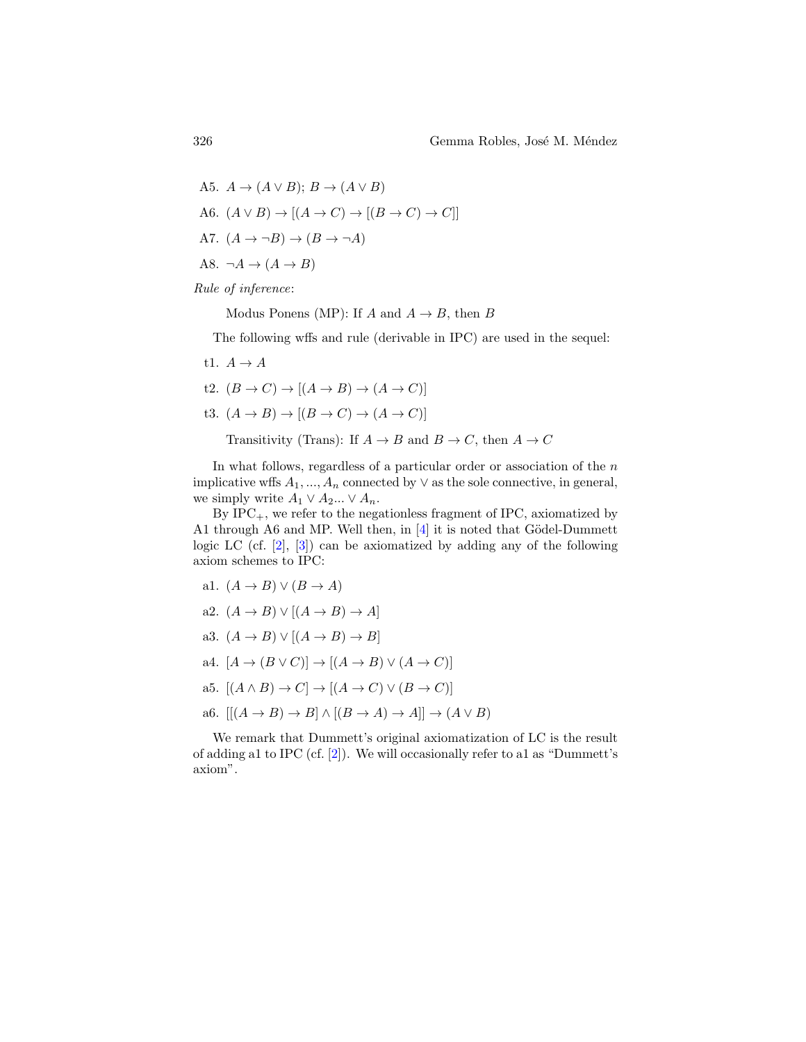A5.  $A \rightarrow (A \vee B)$ ;  $B \rightarrow (A \vee B)$ A6.  $(A \vee B) \rightarrow [(A \rightarrow C) \rightarrow [(B \rightarrow C) \rightarrow C]]$ A7.  $(A \rightarrow \neg B) \rightarrow (B \rightarrow \neg A)$ A8.  $\neg A \rightarrow (A \rightarrow B)$ 

Rule of inference:

Modus Ponens (MP): If A and  $A \rightarrow B$ , then B

The following wffs and rule (derivable in IPC) are used in the sequel:

- t1.  $A \rightarrow A$
- t2.  $(B \to C) \to [(A \to B) \to (A \to C)]$
- t3.  $(A \rightarrow B) \rightarrow [(B \rightarrow C) \rightarrow (A \rightarrow C)]$

Transitivity (Trans): If  $A \to B$  and  $B \to C$ , then  $A \to C$ 

In what follows, regardless of a particular order or association of the  $n$ implicative wffs  $A_1, ..., A_n$  connected by  $\vee$  as the sole connective, in general, we simply write  $A_1 \vee A_2 ... \vee A_n$ .

By  $IPC_+$ , we refer to the negationless fragment of IPC, axiomatized by A1 through A6 and MP. Well then, in  $[4]$  it is noted that Gödel-Dummett logic LC (cf. [\[2\]](#page-9-1), [\[3\]](#page-9-2)) can be axiomatized by adding any of the following axiom schemes to IPC:

a1. 
$$
(A \rightarrow B) \vee (B \rightarrow A)
$$
  
\na2.  $(A \rightarrow B) \vee [(A \rightarrow B) \rightarrow A]$   
\na3.  $(A \rightarrow B) \vee [(A \rightarrow B) \rightarrow B]$   
\na4.  $[A \rightarrow (B \vee C)] \rightarrow [(A \rightarrow B) \vee (A \rightarrow C)]$   
\na5.  $[(A \wedge B) \rightarrow C] \rightarrow [(A \rightarrow C) \vee (B \rightarrow C)]$   
\na6.  $[[(A \rightarrow B) \rightarrow B] \wedge [(B \rightarrow A) \rightarrow A]] \rightarrow (A \vee B)$ 

We remark that Dummett's original axiomatization of LC is the result of adding a1 to IPC (cf. [\[2\]](#page-9-1)). We will occasionally refer to a1 as "Dummett's axiom".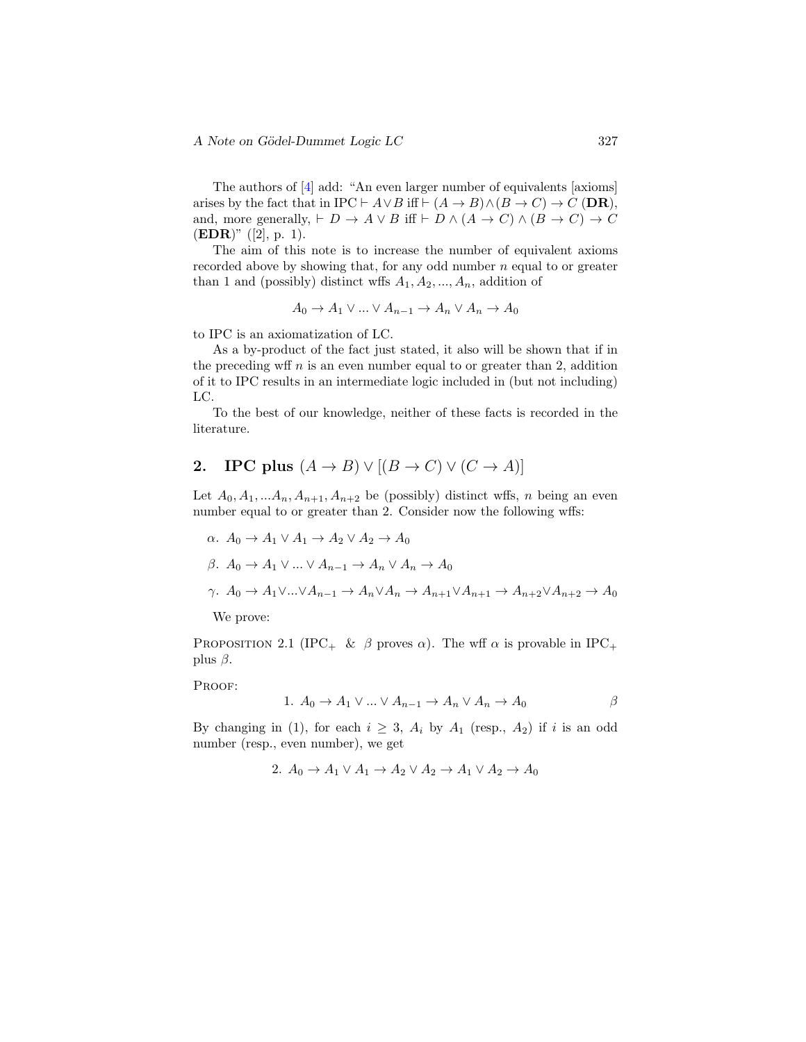The authors of [\[4\]](#page-9-0) add: "An even larger number of equivalents [axioms] arises by the fact that in IPC  $\vdash A \lor B$  iff  $\vdash (A \to B) \land (B \to C) \to C$  (DR), and, more generally,  $\vdash D \rightarrow A \lor B$  iff  $\vdash D \land (A \rightarrow C) \land (B \rightarrow C) \rightarrow C$  $(EDR)$ " ([2], p. 1).

The aim of this note is to increase the number of equivalent axioms recorded above by showing that, for any odd number  $n$  equal to or greater than 1 and (possibly) distinct wffs  $A_1, A_2, ..., A_n$ , addition of

$$
A_0 \to A_1 \lor \dots \lor A_{n-1} \to A_n \lor A_n \to A_0
$$

to IPC is an axiomatization of LC.

As a by-product of the fact just stated, it also will be shown that if in the preceding wff  $n$  is an even number equal to or greater than 2, addition of it to IPC results in an intermediate logic included in (but not including) LC.

To the best of our knowledge, neither of these facts is recorded in the literature.

# 2. IPC plus  $(A \rightarrow B) \vee [(B \rightarrow C) \vee (C \rightarrow A)]$

Let  $A_0, A_1, \ldots, A_n, A_{n+1}, A_{n+2}$  be (possibly) distinct wffs, n being an even number equal to or greater than 2. Consider now the following wffs:

$$
\alpha. A_0 \to A_1 \lor A_1 \to A_2 \lor A_2 \to A_0
$$
  

$$
\beta. A_0 \to A_1 \lor \dots \lor A_{n-1} \to A_n \lor A_n \to A_0
$$

$$
\gamma. \ A_0 \to A_1 \vee \dots \vee A_{n-1} \to A_n \vee A_n \to A_{n+1} \vee A_{n+1} \to A_{n+2} \vee A_{n+2} \to A_0
$$

We prove:

PROPOSITION 2.1 (IPC<sub>+</sub> &  $\beta$  proves  $\alpha$ ). The wff  $\alpha$  is provable in IPC<sub>+</sub> plus  $\beta$ .

PROOF:

1. 
$$
A_0 \to A_1 \vee \dots \vee A_{n-1} \to A_n \vee A_n \to A_0
$$
  $\beta$ 

By changing in (1), for each  $i \geq 3$ ,  $A_i$  by  $A_1$  (resp.,  $A_2$ ) if i is an odd number (resp., even number), we get

2. 
$$
A_0 \rightarrow A_1 \vee A_1 \rightarrow A_2 \vee A_2 \rightarrow A_1 \vee A_2 \rightarrow A_0
$$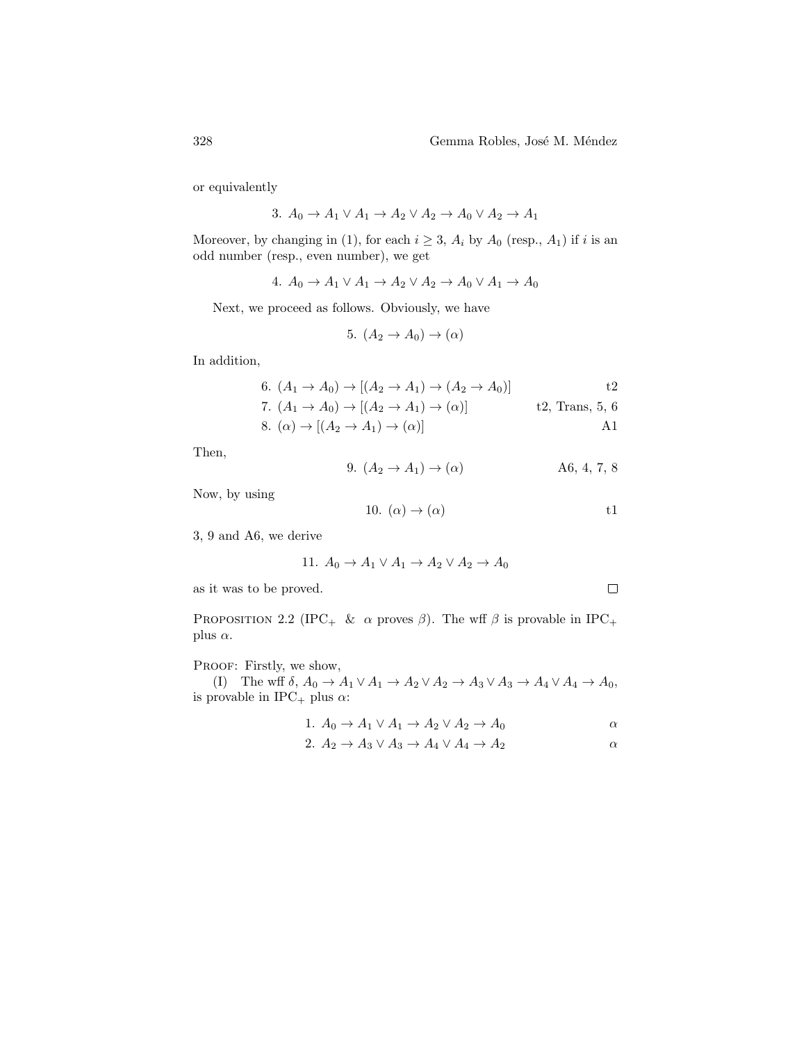or equivalently

$$
3. A_0 \to A_1 \lor A_1 \to A_2 \lor A_2 \to A_0 \lor A_2 \to A_1
$$

Moreover, by changing in (1), for each  $i \geq 3$ ,  $A_i$  by  $A_0$  (resp.,  $A_1$ ) if i is an odd number (resp., even number), we get

4. 
$$
A_0 \rightarrow A_1 \vee A_1 \rightarrow A_2 \vee A_2 \rightarrow A_0 \vee A_1 \rightarrow A_0
$$

Next, we proceed as follows. Obviously, we have

$$
5. (A_2 \to A_0) \to (\alpha)
$$

In addition,

6. 
$$
(A_1 \rightarrow A_0) \rightarrow [(A_2 \rightarrow A_1) \rightarrow (A_2 \rightarrow A_0)]
$$
  
7.  $(A_1 \rightarrow A_0) \rightarrow [(A_2 \rightarrow A_1) \rightarrow (\alpha)]$   
8.  $(\alpha) \rightarrow [(A_2 \rightarrow A_1) \rightarrow (\alpha)]$   
41

Then,

9. 
$$
(A_2 \to A_1) \to (\alpha)
$$
 A6, 4, 7, 8

Now, by using

10. 
$$
(\alpha) \rightarrow (\alpha)
$$
 t1

3, 9 and A6, we derive

11. 
$$
A_0 \rightarrow A_1 \vee A_1 \rightarrow A_2 \vee A_2 \rightarrow A_0
$$

as it was to be proved.

PROPOSITION 2.2 (IPC<sub>+</sub> &  $\alpha$  proves  $\beta$ ). The wff  $\beta$  is provable in IPC<sub>+</sub> plus  $\alpha$ .

PROOF: Firstly, we show,

(I) The wff  $\delta$ ,  $A_0 \to A_1 \lor A_1 \to A_2 \lor A_2 \to A_3 \lor A_3 \to A_4 \lor A_4 \to A_0$ , is provable in IPC<sub>+</sub> plus  $\alpha$ :

$$
1. A_0 \to A_1 \lor A_1 \to A_2 \lor A_2 \to A_0
$$

$$
2. A_2 \to A_3 \lor A_3 \to A_4 \lor A_4 \to A_2 \qquad \qquad \alpha
$$

 $\Box$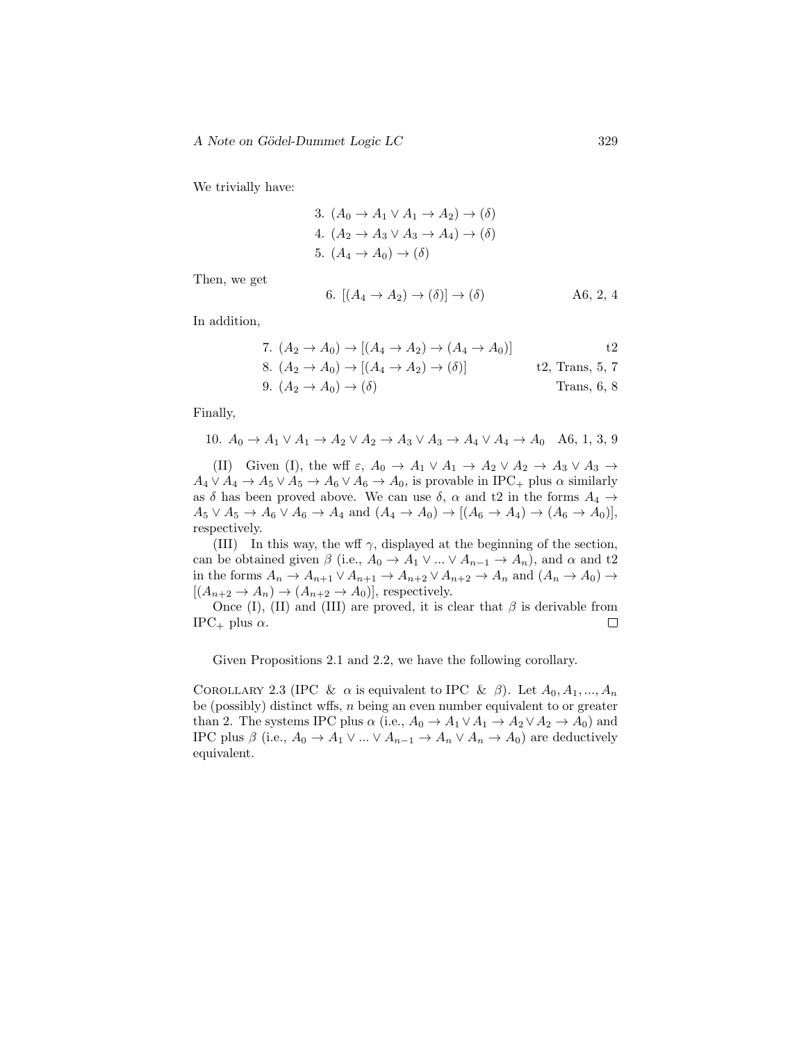We trivially have:

3. 
$$
(A_0 \rightarrow A_1 \lor A_1 \rightarrow A_2) \rightarrow (\delta)
$$
  
4.  $(A_2 \rightarrow A_3 \lor A_3 \rightarrow A_4) \rightarrow (\delta)$   
5.  $(A_4 \rightarrow A_0) \rightarrow (\delta)$ 

Then, we get

6. 
$$
[(A_4 \to A_2) \to (\delta)] \to (\delta)
$$
 A6, 2, 4

In addition,

7. 
$$
(A_2 \to A_0) \to [(A_4 \to A_2) \to (A_4 \to A_0)]
$$
 t2  
\n8.  $(A_2 \to A_0) \to [(A_4 \to A_2) \to (\delta)]$  t2, Trans, 5, 7  
\n9.  $(A_2 \to A_0) \to (\delta)$  Trans, 6, 8

Finally,

10. 
$$
A_0 \to A_1 \lor A_1 \to A_2 \lor A_2 \to A_3 \lor A_3 \to A_4 \lor A_4 \to A_0
$$
 A6, 1, 3, 9

(II) Given (I), the wff  $\varepsilon$ ,  $A_0 \to A_1 \vee A_1 \to A_2 \vee A_2 \to A_3 \vee A_3 \to$  $A_4 \vee A_4 \rightarrow A_5 \vee A_5 \rightarrow A_6 \vee A_6 \rightarrow A_0$ , is provable in IPC<sub>+</sub> plus  $\alpha$  similarly as  $\delta$  has been proved above. We can use  $\delta$ ,  $\alpha$  and t2 in the forms  $A_4 \rightarrow$  $A_5 \vee A_5 \rightarrow A_6 \vee A_6 \rightarrow A_4$  and  $(A_4 \rightarrow A_0) \rightarrow [(A_6 \rightarrow A_4) \rightarrow (A_6 \rightarrow A_0)]$ , respectively.

(III) In this way, the wff  $\gamma$ , displayed at the beginning of the section, can be obtained given  $\beta$  (i.e.,  $A_0 \rightarrow A_1 \vee ... \vee A_{n-1} \rightarrow A_n$ ), and  $\alpha$  and t2 in the forms  $A_n \to A_{n+1} \vee A_{n+1} \to A_{n+2} \vee A_{n+2} \to A_n$  and  $(A_n \to A_0) \to$  $[(A_{n+2} \to A_n) \to (A_{n+2} \to A_0)],$  respectively.

Once (I), (II) and (III) are proved, it is clear that  $\beta$  is derivable from  $\Box$  $\text{IPC}_+$  plus  $\alpha$ .

Given Propositions 2.1 and 2.2, we have the following corollary.

COROLLARY 2.3 (IPC &  $\alpha$  is equivalent to IPC &  $\beta$ ). Let  $A_0, A_1, ..., A_n$ be (possibly) distinct wffs, n being an even number equivalent to or greater than 2. The systems IPC plus  $\alpha$  (i.e.,  $A_0 \rightarrow A_1 \vee A_1 \rightarrow A_2 \vee A_2 \rightarrow A_0$ ) and IPC plus  $\beta$  (i.e.,  $A_0 \to A_1 \vee ... \vee A_{n-1} \to A_n \vee A_n \to A_0$ ) are deductively equivalent.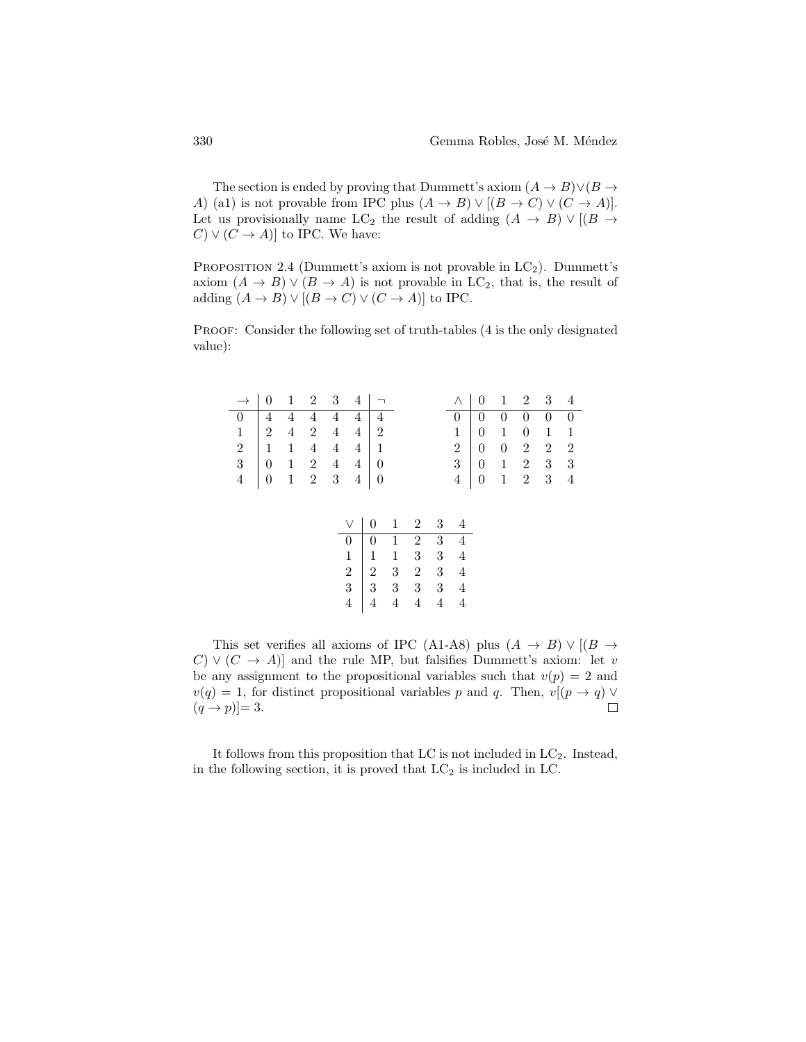The section is ended by proving that Dummett's axiom  $(A \to B) \lor (B \to$ A) (a1) is not provable from IPC plus  $(A \rightarrow B) \vee [(B \rightarrow C) \vee (C \rightarrow A)].$ Let us provisionally name LC<sub>2</sub> the result of adding  $(A \rightarrow B) \vee [(B \rightarrow B])$  $C \vee (C \rightarrow A)$  to IPC. We have:

PROPOSITION 2.4 (Dummett's axiom is not provable in  $LC_2$ ). Dummett's axiom  $(A \to B) \lor (B \to A)$  is not provable in LC<sub>2</sub>, that is, the result of adding  $(A \to B) \lor [(B \to C) \lor (C \to A)]$  to IPC.

PROOF: Consider the following set of truth-tables (4 is the only designated value):

| $\rightarrow$ 0 1 2 3 4 $\rightarrow$             |  |  |  |  | $\wedge$   0   1   2   3   4                               |  |  |
|---------------------------------------------------|--|--|--|--|------------------------------------------------------------|--|--|
| $0 \t 4 \t 4 \t 4 \t 4 \t 4 \t 4$                 |  |  |  |  | $0 \mid 0 \quad 0 \quad 0 \quad 0 \quad 0$                 |  |  |
| $1 \t 2 \t 4 \t 2 \t 4 \t 4 \t 2$                 |  |  |  |  | $1 \ 0 \ 1 \ 0 \ 1 \ 1$                                    |  |  |
| $2 \mid 1 \quad 1 \quad 4 \quad 4 \quad 4 \mid 1$ |  |  |  |  | $2 \begin{pmatrix} 0 & 0 & 2 & 2 & 2 \end{pmatrix}$        |  |  |
| $3 \t 0 \t 1 \t 2 \t 4 \t 4 \t 0$                 |  |  |  |  | $3 \begin{array}{ rrrr} 3 & 0 & 1 & 2 & 3 & 3 \end{array}$ |  |  |
| $4 \t 0 \t 1 \t 2 \t 3 \t 4 \t 0$                 |  |  |  |  | $4 \mid 0 \quad 1 \quad 2 \quad 3 \quad 4$                 |  |  |
|                                                   |  |  |  |  |                                                            |  |  |

| $\vee$         | $\boldsymbol{0}$                         | $\mathbf{1}$                               | $\overline{2}$  | 3     |                |
|----------------|------------------------------------------|--------------------------------------------|-----------------|-------|----------------|
| $\overline{0}$ | $\boldsymbol{0}$                         |                                            | $\overline{2}$  | $3^-$ |                |
|                |                                          | $\begin{array}{c} 1 \\ 1 \\ 3 \end{array}$ | $3\phantom{.0}$ | 3     | $\overline{4}$ |
| $\frac{1}{2}$  |                                          |                                            | $\,2$           | 3     |                |
|                | $\begin{array}{c} 2 \ 1 \ 3 \end{array}$ | $\frac{1}{3}$                              | 3               | 3     |                |
| $\frac{1}{4}$  |                                          | $\overline{4}$                             |                 | 4     |                |

This set verifies all axioms of IPC (A1-A8) plus  $(A \rightarrow B) \vee [(B \rightarrow$  $(C) \vee (C \rightarrow A)$  and the rule MP, but falsifies Dummett's axiom: let v be any assignment to the propositional variables such that  $v(p) = 2$  and  $v(q) = 1$ , for distinct propositional variables p and q. Then,  $v[(p \rightarrow q) \vee$  $(q \rightarrow p) \equiv 3.$ П

It follows from this proposition that LC is not included in  $LC_2$ . Instead, in the following section, it is proved that  $LC_2$  is included in LC.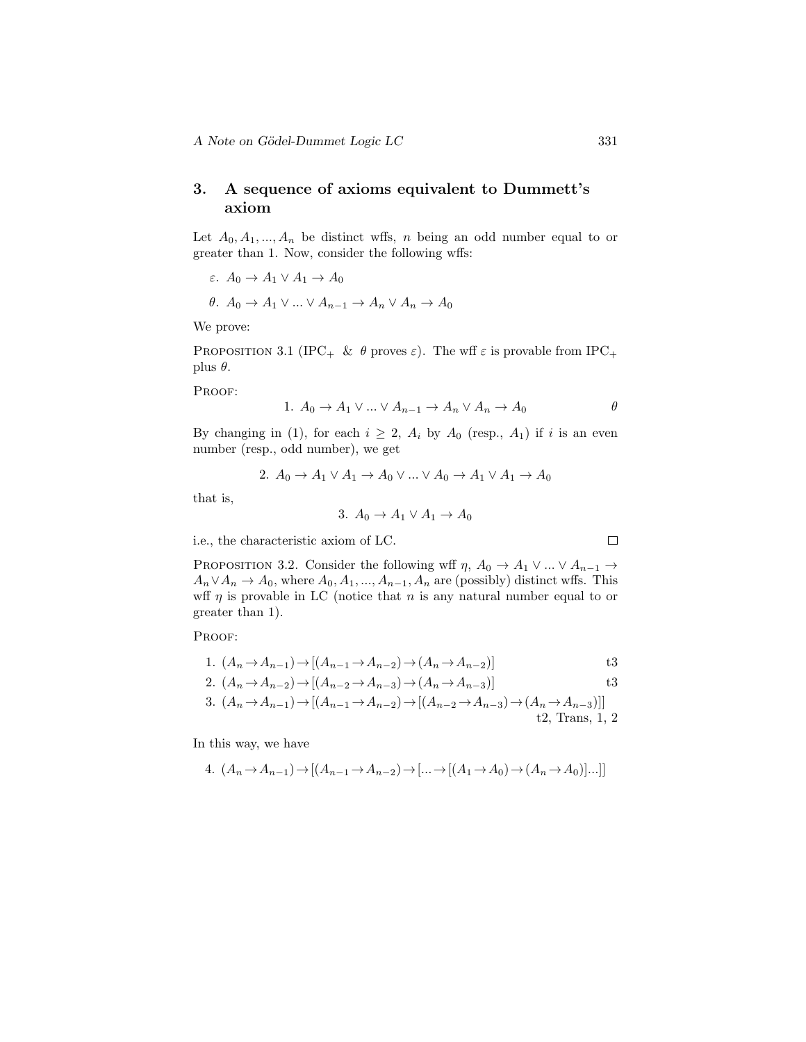## 3. A sequence of axioms equivalent to Dummett's axiom

Let  $A_0, A_1, ..., A_n$  be distinct wffs, n being an odd number equal to or greater than 1. Now, consider the following wffs:

$$
\varepsilon. \ A_0 \to A_1 \lor A_1 \to A_0
$$

 $θ$ .  $A_0$  →  $A_1$   $\vee$  ...  $\vee$   $A_{n-1}$  →  $A_n$   $\vee$   $A_n$  →  $A_0$ 

We prove:

PROPOSITION 3.1 (IPC<sub>+</sub> &  $\theta$  proves  $\varepsilon$ ). The wff  $\varepsilon$  is provable from IPC<sub>+</sub> plus  $\theta$ .

PROOF:

1. 
$$
A_0 \to A_1 \vee \ldots \vee A_{n-1} \to A_n \vee A_n \to A_0
$$

By changing in (1), for each  $i \geq 2$ ,  $A_i$  by  $A_0$  (resp.,  $A_1$ ) if i is an even number (resp., odd number), we get

2. 
$$
A_0 \rightarrow A_1 \vee A_1 \rightarrow A_0 \vee \dots \vee A_0 \rightarrow A_1 \vee A_1 \rightarrow A_0
$$

that is,

$$
3. A_0 \to A_1 \lor A_1 \to A_0
$$

i.e., the characteristic axiom of LC.

PROPOSITION 3.2. Consider the following wff  $\eta$ ,  $A_0 \to A_1 \vee ... \vee A_{n-1} \to$  $A_n \vee A_n \to A_0$ , where  $A_0, A_1, ..., A_{n-1}, A_n$  are (possibly) distinct wffs. This wff  $\eta$  is provable in LC (notice that n is any natural number equal to or greater than 1).

PROOF:

1. 
$$
(A_n \rightarrow A_{n-1}) \rightarrow [(A_{n-1} \rightarrow A_{n-2}) \rightarrow (A_n \rightarrow A_{n-2})]
$$
 t3

2. 
$$
(A_n \to A_{n-2}) \to [(A_{n-2} \to A_{n-3}) \to (A_n \to A_{n-3})]
$$

3. 
$$
(A_n \to A_{n-1}) \to [(A_{n-1} \to A_{n-2}) \to [(A_{n-2} \to A_{n-3}) \to (A_n \to A_{n-3})]]
$$
  
t2, Trans, 1, 2

In this way, we have

4. 
$$
(A_n \to A_{n-1}) \to [(A_{n-1} \to A_{n-2}) \to [\dots \to [(A_1 \to A_0) \to (A_n \to A_0)] \dots ]]
$$

$$
\qquad \qquad \Box
$$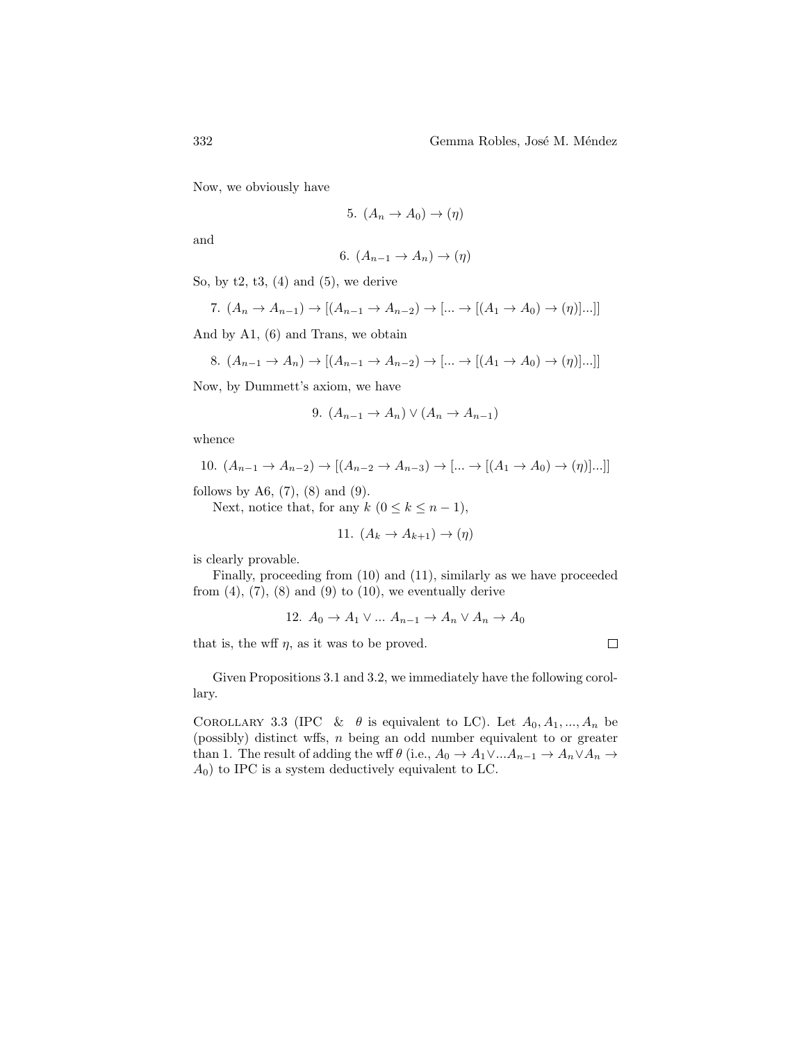Now, we obviously have

$$
5. (A_n \to A_0) \to (\eta)
$$

and

$$
6. (A_{n-1} \to A_n) \to (\eta)
$$

So, by  $t2$ ,  $t3$ ,  $(4)$  and  $(5)$ , we derive

7. 
$$
(A_n \to A_{n-1}) \to [(A_{n-1} \to A_{n-2}) \to [\dots \to [(A_1 \to A_0) \to (\eta)] \dots]]
$$

And by A1, (6) and Trans, we obtain

8. 
$$
(A_{n-1} \to A_n) \to [(A_{n-1} \to A_{n-2}) \to [\dots \to [(A_1 \to A_0) \to (\eta)] \dots]]
$$

Now, by Dummett's axiom, we have

9. 
$$
(A_{n-1} \to A_n) \vee (A_n \to A_{n-1})
$$

whence

10. 
$$
(A_{n-1} \to A_{n-2}) \to [(A_{n-2} \to A_{n-3}) \to [\dots \to [(A_1 \to A_0) \to (\eta)] \dots]]
$$

follows by A6,  $(7)$ ,  $(8)$  and  $(9)$ .

Next, notice that, for any  $k$   $(0 \leq k \leq n-1)$ ,

11. 
$$
(A_k \to A_{k+1}) \to (\eta)
$$

is clearly provable.

Finally, proceeding from (10) and (11), similarly as we have proceeded from  $(4)$ ,  $(7)$ ,  $(8)$  and  $(9)$  to  $(10)$ , we eventually derive

12. 
$$
A_0 \rightarrow A_1 \vee \dots A_{n-1} \rightarrow A_n \vee A_n \rightarrow A_0
$$

that is, the wff  $\eta$ , as it was to be proved.

Given Propositions 3.1 and 3.2, we immediately have the following corollary.

COROLLARY 3.3 (IPC &  $\theta$  is equivalent to LC). Let  $A_0, A_1, ..., A_n$  be (possibly) distinct wffs, n being an odd number equivalent to or greater than 1. The result of adding the wff  $\theta$  (i.e.,  $A_0 \to A_1 \vee ... A_{n-1} \to A_n \vee A_n \to$  $A_0$ ) to IPC is a system deductively equivalent to LC.

 $\Box$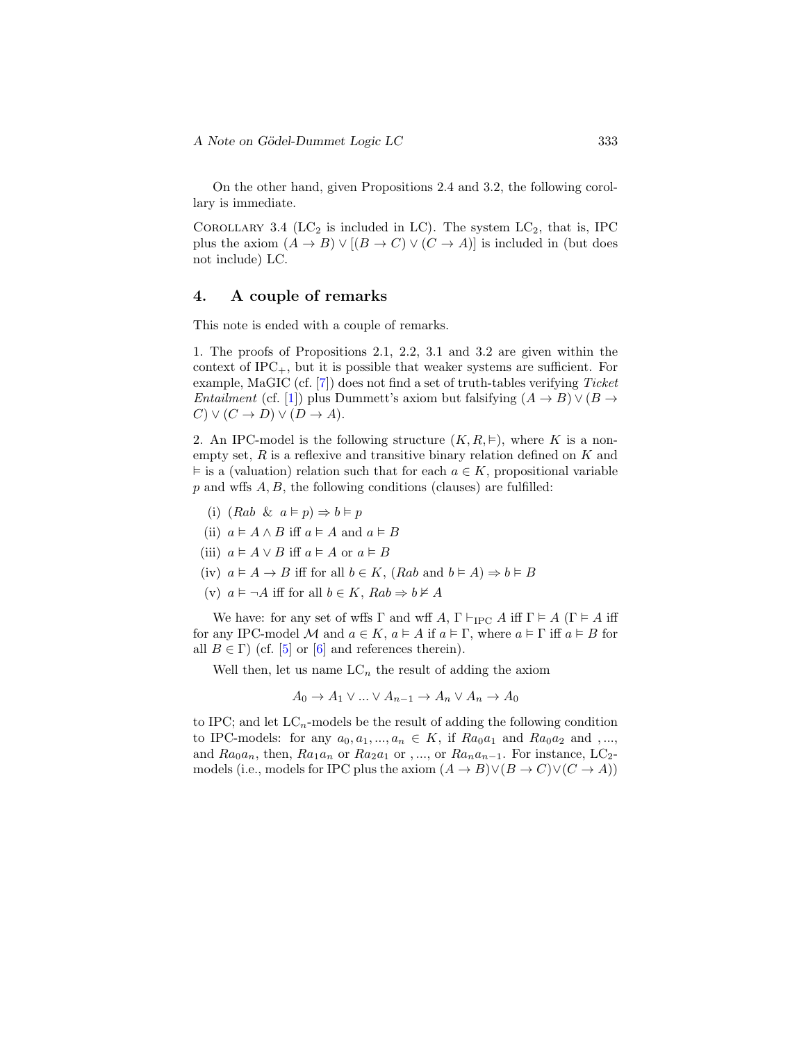On the other hand, given Propositions 2.4 and 3.2, the following corollary is immediate.

COROLLARY 3.4 (LC<sub>2</sub> is included in LC). The system  $LC_2$ , that is, IPC plus the axiom  $(A \to B) \lor [(B \to C) \lor (C \to A)]$  is included in (but does not include) LC.

#### 4. A couple of remarks

This note is ended with a couple of remarks.

1. The proofs of Propositions 2.1, 2.2, 3.1 and 3.2 are given within the context of  $IPC_+$ , but it is possible that weaker systems are sufficient. For example, MaGIC (cf.  $|7|$ ) does not find a set of truth-tables verifying *Ticket Entailment* (cf. [\[1\]](#page-9-4)) plus Dummett's axiom but falsifying  $(A \rightarrow B) \vee (B \rightarrow$  $C \vee (C \rightarrow D) \vee (D \rightarrow A).$ 

2. An IPC-model is the following structure  $(K, R, \vDash)$ , where K is a nonempty set,  $R$  is a reflexive and transitive binary relation defined on  $K$  and  $\vDash$  is a (valuation) relation such that for each  $a \in K$ , propositional variable  $p$  and wffs  $A, B$ , the following conditions (clauses) are fulfilled:

- (i)  $(Rab \& a \models p) \Rightarrow b \models p$
- (ii)  $a \models A \land B$  iff  $a \models A$  and  $a \models B$
- (iii)  $a \models A \lor B$  iff  $a \models A$  or  $a \models B$
- (iv)  $a \models A \rightarrow B$  iff for all  $b \in K$ ,  $(Rab \text{ and } b \models A) \Rightarrow b \models B$
- (v)  $a \models \neg A$  iff for all  $b \in K$ ,  $Rab \Rightarrow b \not\models A$

We have: for any set of wffs  $\Gamma$  and wff  $A, \Gamma \vdash_{\text{IPC}} A$  iff  $\Gamma \models A$  ( $\Gamma \models A$  iff for any IPC-model M and  $a \in K$ ,  $a \models A$  if  $a \models \Gamma$ , where  $a \models \Gamma$  iff  $a \models B$  for all  $B \in \Gamma$ ) (cf. [\[5\]](#page-9-5) or [\[6\]](#page-9-6) and references therein).

Well then, let us name  $LC_n$  the result of adding the axiom

$$
A_0 \to A_1 \lor \dots \lor A_{n-1} \to A_n \lor A_n \to A_0
$$

to IPC; and let  $LC_n$ -models be the result of adding the following condition to IPC-models: for any  $a_0, a_1, ..., a_n \in K$ , if  $Ra_0a_1$  and  $Ra_0a_2$  and ,..., and  $Ra_{0}a_{n}$ , then,  $Ra_{1}a_{n}$  or  $Ra_{2}a_{1}$  or , ..., or  $Ra_{n}a_{n-1}$ . For instance, LC<sub>2</sub>models (i.e., models for IPC plus the axiom  $(A \to B) \lor (B \to C) \lor (C \to A)$ )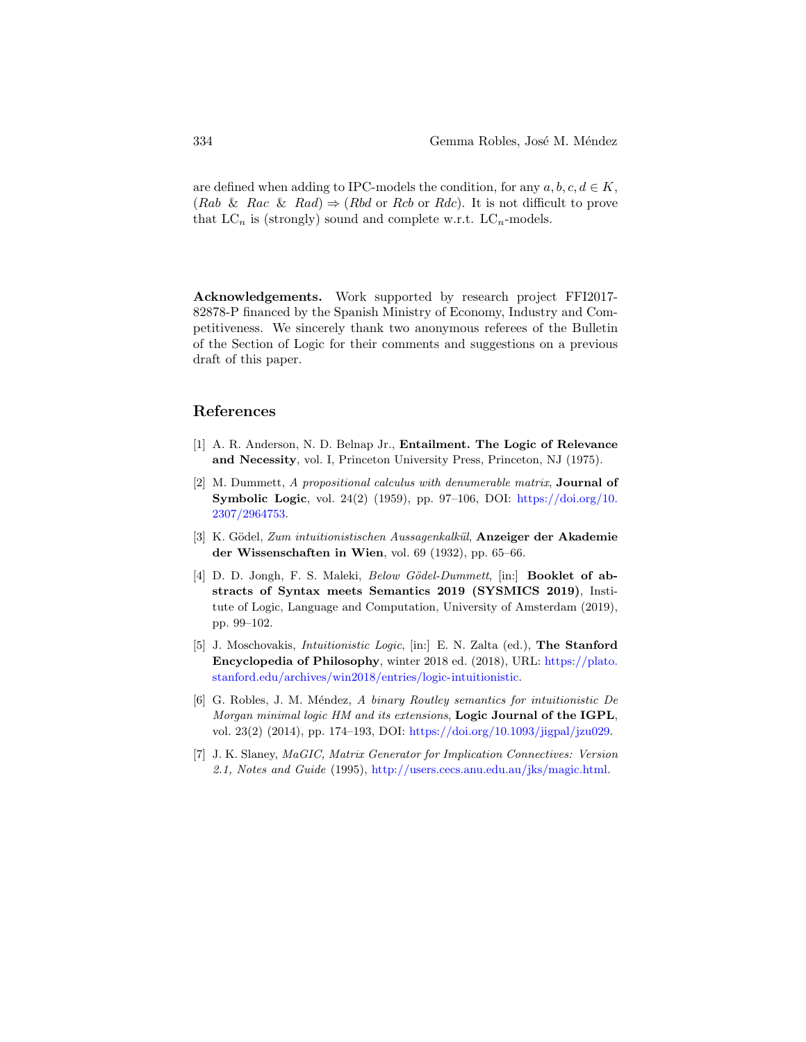are defined when adding to IPC-models the condition, for any  $a, b, c, d \in K$ ,  $(Rab \& Rac \& Rad) \Rightarrow (Rbd \text{ or } Rcb \text{ or } Rdc)$ . It is not difficult to prove that  $LC_n$  is (strongly) sound and complete w.r.t.  $LC_n$ -models.

Acknowledgements. Work supported by research project FFI2017- 82878-P financed by the Spanish Ministry of Economy, Industry and Competitiveness. We sincerely thank two anonymous referees of the Bulletin of the Section of Logic for their comments and suggestions on a previous draft of this paper.

#### References

- <span id="page-9-4"></span>[1] A. R. Anderson, N. D. Belnap Jr., Entailment. The Logic of Relevance and Necessity, vol. I, Princeton University Press, Princeton, NJ (1975).
- <span id="page-9-1"></span>[2] M. Dummett, A propositional calculus with denumerable matrix, Journal of **Symbolic Logic**, vol. 24(2) (1959), pp. 97–106, DOI: [https://doi.org/10.](https://doi.org/10.2307/2964753) [2307/2964753.](https://doi.org/10.2307/2964753)
- <span id="page-9-2"></span>[3] K. Gödel, Zum intuitionistischen Aussagenkalkül, **Anzeiger der Akademie** der Wissenschaften in Wien, vol. 69 (1932), pp. 65–66.
- <span id="page-9-0"></span>[4] D. D. Jongh, F. S. Maleki, *Below Gödel-Dummett*, [in:] **Booklet of ab**stracts of Syntax meets Semantics 2019 (SYSMICS 2019), Institute of Logic, Language and Computation, University of Amsterdam (2019), pp. 99–102.
- <span id="page-9-5"></span>[5] J. Moschovakis, Intuitionistic Logic, [in:] E. N. Zalta (ed.), The Stanford Encyclopedia of Philosophy, winter 2018 ed. (2018), URL: [https://plato.](https://plato.stanford.edu/archives/win2018/entries/logic-intuitionistic) [stanford.edu/archives/win2018/entries/logic-intuitionistic.](https://plato.stanford.edu/archives/win2018/entries/logic-intuitionistic)
- <span id="page-9-6"></span>[6] G. Robles, J. M. Méndez, A binary Routley semantics for intuitionistic De Morgan minimal logic HM and its extensions, **Logic Journal of the IGPL**, vol. 23(2) (2014), pp. 174–193, DOI: [https://doi.org/10.1093/jigpal/jzu029.](https://doi.org/10.1093/jigpal/jzu029)
- <span id="page-9-3"></span>[7] J. K. Slaney, MaGIC, Matrix Generator for Implication Connectives: Version 2.1, Notes and Guide (1995), [http://users.cecs.anu.edu.au/jks/magic.html.](http://users.cecs.anu.edu.au/ jks/magic.html)